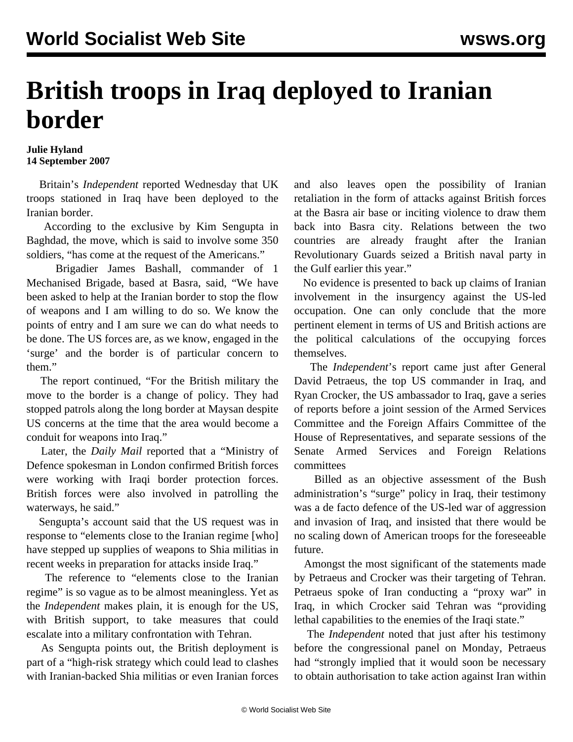## **British troops in Iraq deployed to Iranian border**

## **Julie Hyland 14 September 2007**

 Britain's *Independent* reported Wednesday that UK troops stationed in Iraq have been deployed to the Iranian border.

 According to the exclusive by Kim Sengupta in Baghdad, the move, which is said to involve some 350 soldiers, "has come at the request of the Americans."

 Brigadier James Bashall, commander of 1 Mechanised Brigade, based at Basra, said, "We have been asked to help at the Iranian border to stop the flow of weapons and I am willing to do so. We know the points of entry and I am sure we can do what needs to be done. The US forces are, as we know, engaged in the 'surge' and the border is of particular concern to them."

 The report continued, "For the British military the move to the border is a change of policy. They had stopped patrols along the long border at Maysan despite US concerns at the time that the area would become a conduit for weapons into Iraq."

 Later, the *Daily Mail* reported that a "Ministry of Defence spokesman in London confirmed British forces were working with Iraqi border protection forces. British forces were also involved in patrolling the waterways, he said."

 Sengupta's account said that the US request was in response to "elements close to the Iranian regime [who] have stepped up supplies of weapons to Shia militias in recent weeks in preparation for attacks inside Iraq."

 The reference to "elements close to the Iranian regime" is so vague as to be almost meaningless. Yet as the *Independent* makes plain, it is enough for the US, with British support, to take measures that could escalate into a military confrontation with Tehran.

 As Sengupta points out, the British deployment is part of a "high-risk strategy which could lead to clashes with Iranian-backed Shia militias or even Iranian forces and also leaves open the possibility of Iranian retaliation in the form of attacks against British forces at the Basra air base or inciting violence to draw them back into Basra city. Relations between the two countries are already fraught after the Iranian Revolutionary Guards seized a British naval party in the Gulf earlier this year."

 No evidence is presented to back up claims of Iranian involvement in the insurgency against the US-led occupation. One can only conclude that the more pertinent element in terms of US and British actions are the political calculations of the occupying forces themselves.

 The *Independent*'s report came just after General David Petraeus, the top US commander in Iraq, and Ryan Crocker, the US ambassador to Iraq, gave a series of reports before a joint session of the Armed Services Committee and the Foreign Affairs Committee of the House of Representatives, and separate sessions of the Senate Armed Services and Foreign Relations committees

 Billed as an objective assessment of the Bush administration's "surge" policy in Iraq, their testimony was a de facto defence of the US-led war of aggression and invasion of Iraq, and insisted that there would be no scaling down of American troops for the foreseeable future.

 Amongst the most significant of the statements made by Petraeus and Crocker was their targeting of Tehran. Petraeus spoke of Iran conducting a "proxy war" in Iraq, in which Crocker said Tehran was "providing lethal capabilities to the enemies of the Iraqi state."

 The *Independent* noted that just after his testimony before the congressional panel on Monday, Petraeus had "strongly implied that it would soon be necessary to obtain authorisation to take action against Iran within